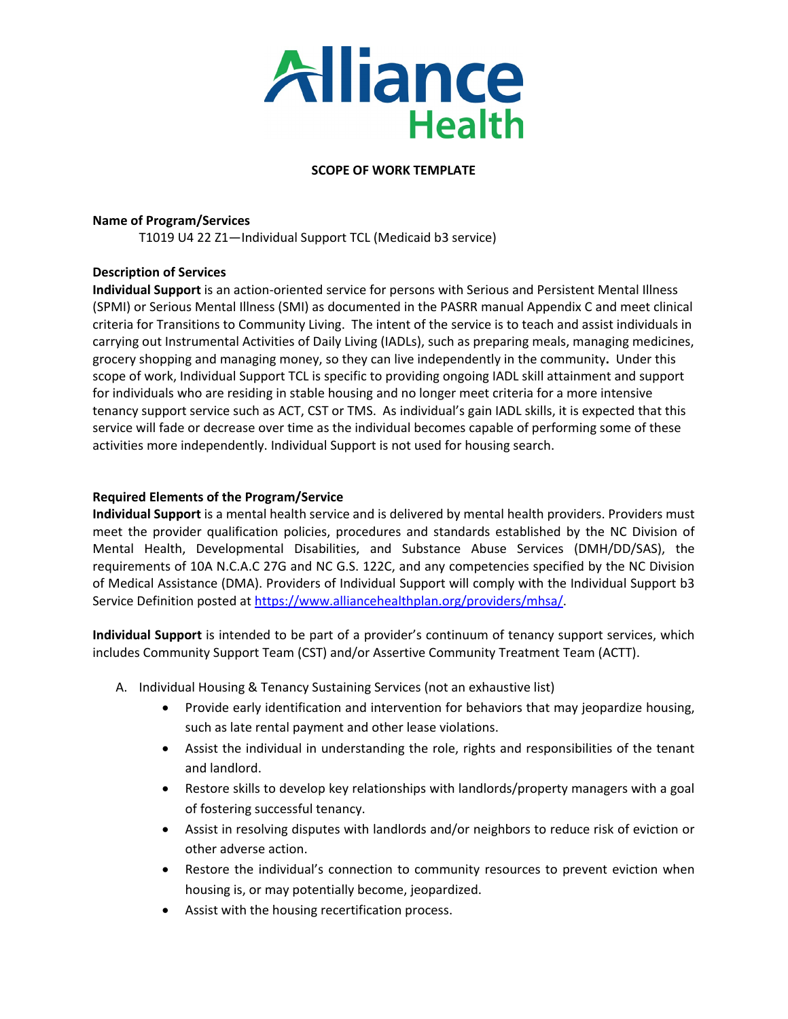

#### **SCOPE OF WORK TEMPLATE**

#### **Name of Program/Services**

T1019 U4 22 Z1—Individual Support TCL (Medicaid b3 service)

### **Description of Services**

**Individual Support** is an action-oriented service for persons with Serious and Persistent Mental Illness (SPMI) or Serious Mental Illness (SMI) as documented in the PASRR manual Appendix C and meet clinical criteria for Transitions to Community Living. The intent of the service is to teach and assist individuals in carrying out Instrumental Activities of Daily Living (IADLs), such as preparing meals, managing medicines, grocery shopping and managing money, so they can live independently in the community**.** Under this scope of work, Individual Support TCL is specific to providing ongoing IADL skill attainment and support for individuals who are residing in stable housing and no longer meet criteria for a more intensive tenancy support service such as ACT, CST or TMS. As individual's gain IADL skills, it is expected that this service will fade or decrease over time as the individual becomes capable of performing some of these activities more independently. Individual Support is not used for housing search.

### **Required Elements of the Program/Service**

**Individual Support** is a mental health service and is delivered by mental health providers. Providers must meet the provider qualification policies, procedures and standards established by the NC Division of Mental Health, Developmental Disabilities, and Substance Abuse Services (DMH/DD/SAS), the requirements of 10A N.C.A.C 27G and NC G.S. 122C, and any competencies specified by the NC Division of Medical Assistance (DMA). Providers of Individual Support will comply with the Individual Support b3 Service Definition posted at [https://www.alliancehealthplan.org/providers/mhsa/.](https://www.alliancehealthplan.org/providers/mhsa/)

**Individual Support** is intended to be part of a provider's continuum of tenancy support services, which includes Community Support Team (CST) and/or Assertive Community Treatment Team (ACTT).

- A. Individual Housing & Tenancy Sustaining Services (not an exhaustive list)
	- Provide early identification and intervention for behaviors that may jeopardize housing, such as late rental payment and other lease violations.
	- Assist the individual in understanding the role, rights and responsibilities of the tenant and landlord.
	- Restore skills to develop key relationships with landlords/property managers with a goal of fostering successful tenancy.
	- Assist in resolving disputes with landlords and/or neighbors to reduce risk of eviction or other adverse action.
	- Restore the individual's connection to community resources to prevent eviction when housing is, or may potentially become, jeopardized.
	- Assist with the housing recertification process.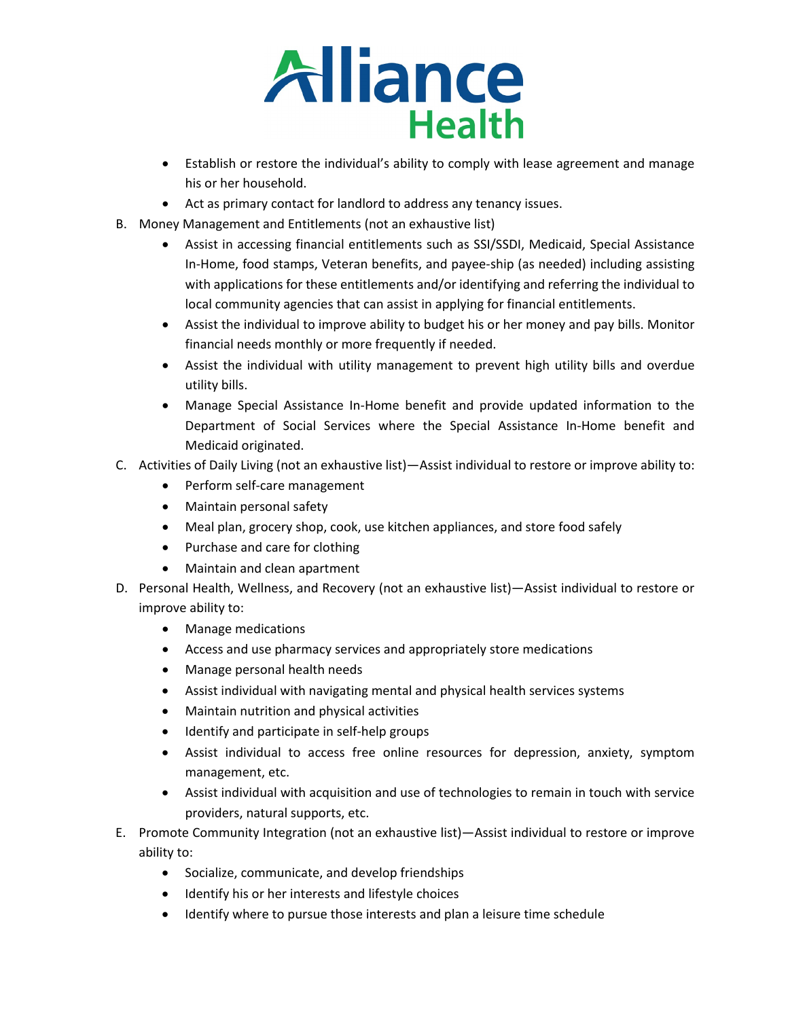

- Establish or restore the individual's ability to comply with lease agreement and manage his or her household.
- Act as primary contact for landlord to address any tenancy issues.
- B. Money Management and Entitlements (not an exhaustive list)
	- Assist in accessing financial entitlements such as SSI/SSDI, Medicaid, Special Assistance In-Home, food stamps, Veteran benefits, and payee-ship (as needed) including assisting with applications for these entitlements and/or identifying and referring the individual to local community agencies that can assist in applying for financial entitlements.
	- Assist the individual to improve ability to budget his or her money and pay bills. Monitor financial needs monthly or more frequently if needed.
	- Assist the individual with utility management to prevent high utility bills and overdue utility bills.
	- Manage Special Assistance In-Home benefit and provide updated information to the Department of Social Services where the Special Assistance In-Home benefit and Medicaid originated.
- C. Activities of Daily Living (not an exhaustive list)—Assist individual to restore or improve ability to:
	- Perform self-care management
	- Maintain personal safety
	- Meal plan, grocery shop, cook, use kitchen appliances, and store food safely
	- Purchase and care for clothing
	- Maintain and clean apartment
- D. Personal Health, Wellness, and Recovery (not an exhaustive list)—Assist individual to restore or improve ability to:
	- Manage medications
	- Access and use pharmacy services and appropriately store medications
	- Manage personal health needs
	- Assist individual with navigating mental and physical health services systems
	- Maintain nutrition and physical activities
	- Identify and participate in self-help groups
	- Assist individual to access free online resources for depression, anxiety, symptom management, etc.
	- Assist individual with acquisition and use of technologies to remain in touch with service providers, natural supports, etc.
- E. Promote Community Integration (not an exhaustive list)—Assist individual to restore or improve ability to:
	- Socialize, communicate, and develop friendships
	- Identify his or her interests and lifestyle choices
	- Identify where to pursue those interests and plan a leisure time schedule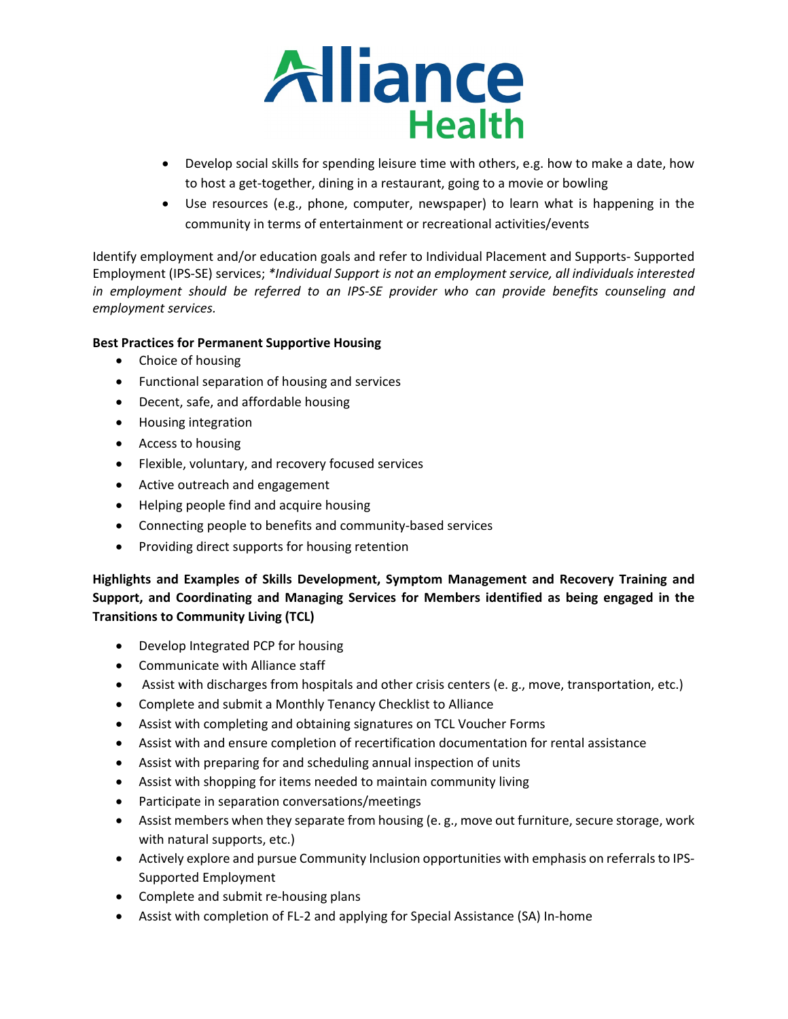

- Develop social skills for spending leisure time with others, e.g. how to make a date, how to host a get-together, dining in a restaurant, going to a movie or bowling
- Use resources (e.g., phone, computer, newspaper) to learn what is happening in the community in terms of entertainment or recreational activities/events

Identify employment and/or education goals and refer to Individual Placement and Supports- Supported Employment (IPS-SE) services; *\*Individual Support is not an employment service, all individuals interested in employment should be referred to an IPS-SE provider who can provide benefits counseling and employment services.* 

# **Best Practices for Permanent Supportive Housing**

- Choice of housing
- Functional separation of housing and services
- Decent, safe, and affordable housing
- Housing integration
- Access to housing
- Flexible, voluntary, and recovery focused services
- Active outreach and engagement
- Helping people find and acquire housing
- Connecting people to benefits and community-based services
- Providing direct supports for housing retention

**Highlights and Examples of Skills Development, Symptom Management and Recovery Training and Support, and Coordinating and Managing Services for Members identified as being engaged in the Transitions to Community Living (TCL)**

- Develop Integrated PCP for housing
- Communicate with Alliance staff
- Assist with discharges from hospitals and other crisis centers (e. g., move, transportation, etc.)
- Complete and submit a Monthly Tenancy Checklist to Alliance
- Assist with completing and obtaining signatures on TCL Voucher Forms
- Assist with and ensure completion of recertification documentation for rental assistance
- Assist with preparing for and scheduling annual inspection of units
- Assist with shopping for items needed to maintain community living
- Participate in separation conversations/meetings
- Assist members when they separate from housing (e.g., move out furniture, secure storage, work with natural supports, etc.)
- Actively explore and pursue Community Inclusion opportunities with emphasis on referrals to IPS-Supported Employment
- Complete and submit re-housing plans
- Assist with completion of FL-2 and applying for Special Assistance (SA) In-home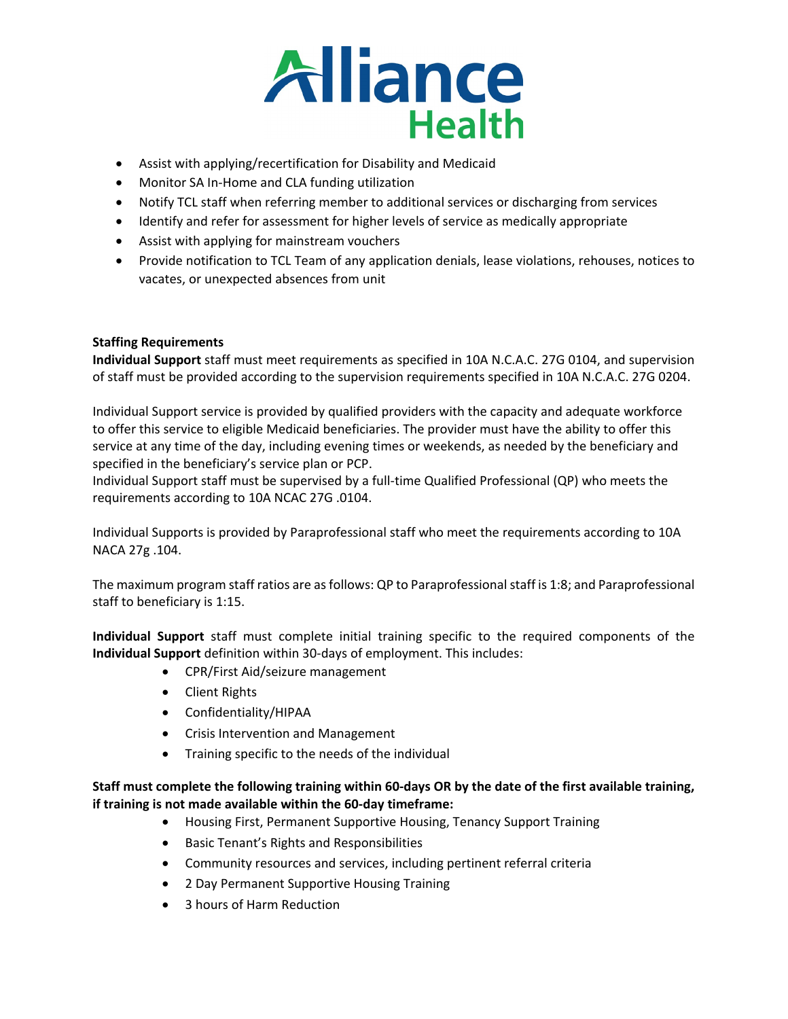

- Assist with applying/recertification for Disability and Medicaid
- Monitor SA In-Home and CLA funding utilization
- Notify TCL staff when referring member to additional services or discharging from services
- Identify and refer for assessment for higher levels of service as medically appropriate
- Assist with applying for mainstream vouchers
- Provide notification to TCL Team of any application denials, lease violations, rehouses, notices to vacates, or unexpected absences from unit

## **Staffing Requirements**

**Individual Support** staff must meet requirements as specified in 10A N.C.A.C. 27G 0104, and supervision of staff must be provided according to the supervision requirements specified in 10A N.C.A.C. 27G 0204.

Individual Support service is provided by qualified providers with the capacity and adequate workforce to offer this service to eligible Medicaid beneficiaries. The provider must have the ability to offer this service at any time of the day, including evening times or weekends, as needed by the beneficiary and specified in the beneficiary's service plan or PCP.

Individual Support staff must be supervised by a full-time Qualified Professional (QP) who meets the requirements according to 10A NCAC 27G .0104.

Individual Supports is provided by Paraprofessional staff who meet the requirements according to 10A NACA 27g .104.

The maximum program staff ratios are as follows: QP to Paraprofessional staff is 1:8; and Paraprofessional staff to beneficiary is 1:15.

**Individual Support** staff must complete initial training specific to the required components of the **Individual Support** definition within 30-days of employment. This includes:

- CPR/First Aid/seizure management
- Client Rights
- Confidentiality/HIPAA
- Crisis Intervention and Management
- Training specific to the needs of the individual

# **Staff must complete the following training within 60-days OR by the date of the first available training, if training is not made available within the 60-day timeframe:**

- Housing First, Permanent Supportive Housing, Tenancy Support Training
- Basic Tenant's Rights and Responsibilities
- Community resources and services, including pertinent referral criteria
- 2 Day Permanent Supportive Housing Training
- 3 hours of Harm Reduction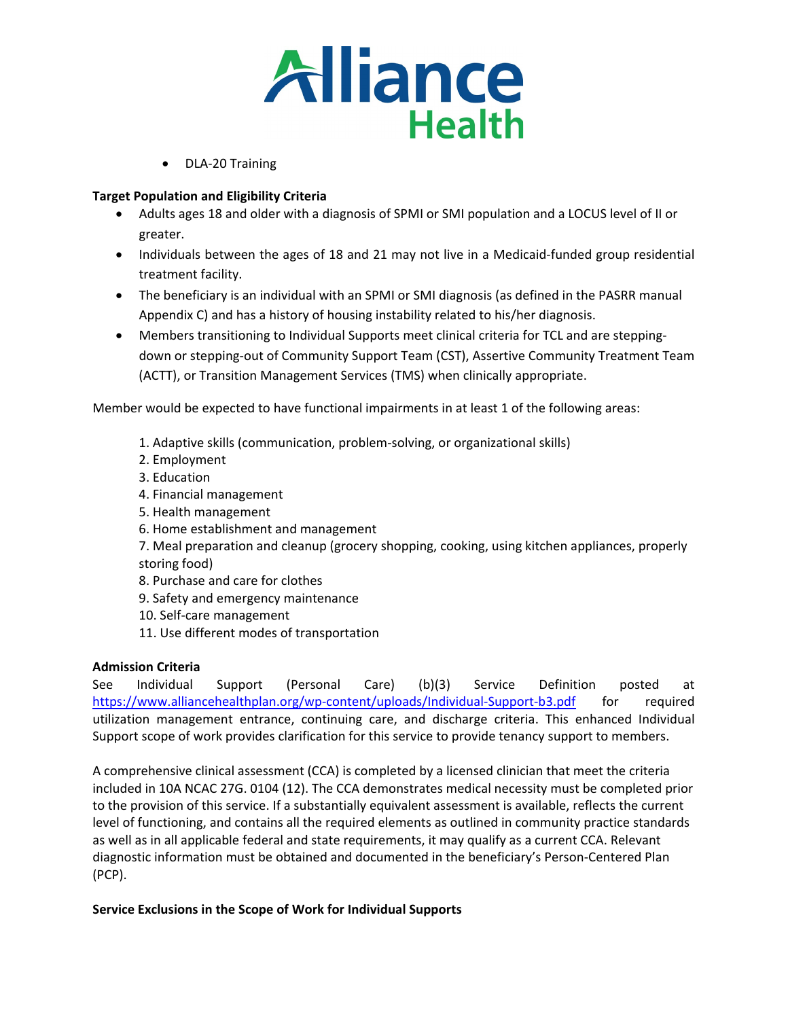

• DLA-20 Training

## **Target Population and Eligibility Criteria**

- Adults ages 18 and older with a diagnosis of SPMI or SMI population and a LOCUS level of II or greater.
- Individuals between the ages of 18 and 21 may not live in a Medicaid-funded group residential treatment facility.
- The beneficiary is an individual with an SPMI or SMI diagnosis (as defined in the PASRR manual Appendix C) and has a history of housing instability related to his/her diagnosis.
- Members transitioning to Individual Supports meet clinical criteria for TCL and are steppingdown or stepping-out of Community Support Team (CST), Assertive Community Treatment Team (ACTT), or Transition Management Services (TMS) when clinically appropriate.

Member would be expected to have functional impairments in at least 1 of the following areas:

- 1. Adaptive skills (communication, problem-solving, or organizational skills)
- 2. Employment
- 3. Education
- 4. Financial management
- 5. Health management
- 6. Home establishment and management

7. Meal preparation and cleanup (grocery shopping, cooking, using kitchen appliances, properly storing food)

- 8. Purchase and care for clothes
- 9. Safety and emergency maintenance
- 10. Self-care management
- 11. Use different modes of transportation

### **Admission Criteria**

See Individual Support (Personal Care) (b)(3) Service Definition posted at <https://www.alliancehealthplan.org/wp-content/uploads/Individual-Support-b3.pdf> for required utilization management entrance, continuing care, and discharge criteria. This enhanced Individual Support scope of work provides clarification for this service to provide tenancy support to members.

A comprehensive clinical assessment (CCA) is completed by a licensed clinician that meet the criteria included in 10A NCAC 27G. 0104 (12). The CCA demonstrates medical necessity must be completed prior to the provision of this service. If a substantially equivalent assessment is available, reflects the current level of functioning, and contains all the required elements as outlined in community practice standards as well as in all applicable federal and state requirements, it may qualify as a current CCA. Relevant diagnostic information must be obtained and documented in the beneficiary's Person-Centered Plan (PCP).

### **Service Exclusions in the Scope of Work for Individual Supports**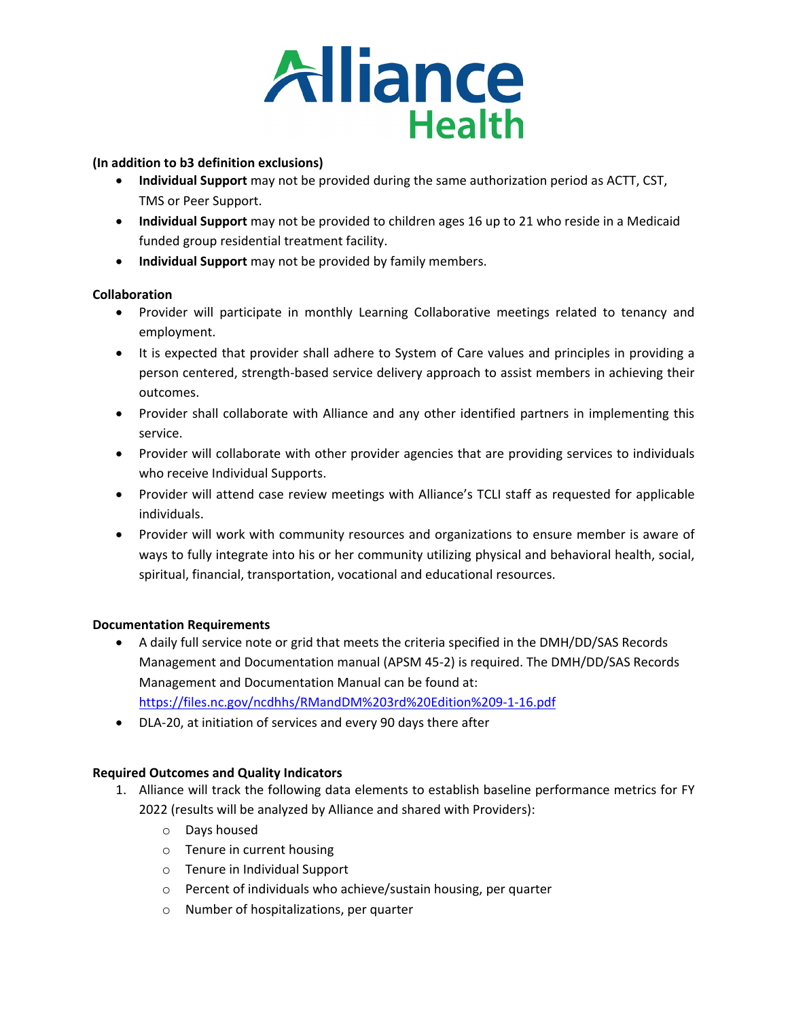

## **(In addition to b3 definition exclusions)**

- **Individual Support** may not be provided during the same authorization period as ACTT, CST, TMS or Peer Support.
- **Individual Support** may not be provided to children ages 16 up to 21 who reside in a Medicaid funded group residential treatment facility.
- **Individual Support** may not be provided by family members.

## **Collaboration**

- Provider will participate in monthly Learning Collaborative meetings related to tenancy and employment.
- It is expected that provider shall adhere to System of Care values and principles in providing a person centered, strength-based service delivery approach to assist members in achieving their outcomes.
- Provider shall collaborate with Alliance and any other identified partners in implementing this service.
- Provider will collaborate with other provider agencies that are providing services to individuals who receive Individual Supports.
- Provider will attend case review meetings with Alliance's TCLI staff as requested for applicable individuals.
- Provider will work with community resources and organizations to ensure member is aware of ways to fully integrate into his or her community utilizing physical and behavioral health, social, spiritual, financial, transportation, vocational and educational resources.

### **Documentation Requirements**

- A daily full service note or grid that meets the criteria specified in the DMH/DD/SAS Records Management and Documentation manual (APSM 45-2) is required. The DMH/DD/SAS Records Management and Documentation Manual can be found at: <https://files.nc.gov/ncdhhs/RMandDM%203rd%20Edition%209-1-16.pdf>
- DLA-20, at initiation of services and every 90 days there after

# **Required Outcomes and Quality Indicators**

- 1. Alliance will track the following data elements to establish baseline performance metrics for FY 2022 (results will be analyzed by Alliance and shared with Providers):
	- o Days housed
	- o Tenure in current housing
	- o Tenure in Individual Support
	- o Percent of individuals who achieve/sustain housing, per quarter
	- o Number of hospitalizations, per quarter